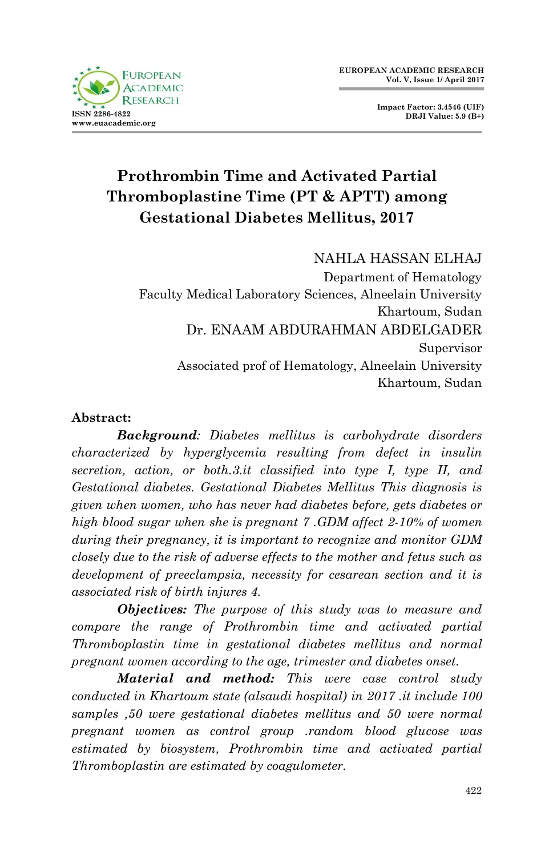

**Impact Factor: 3.4546 (UIF) DRJI Value: 5.9 (B+)**

# **Prothrombin Time and Activated Partial Thromboplastine Time (PT & APTT) among Gestational Diabetes Mellitus, 2017**

## NAHLA HASSAN ELHAJ

Department of Hematology Faculty Medical Laboratory Sciences, Alneelain University Khartoum, Sudan Dr. ENAAM ABDURAHMAN ABDELGADER Supervisor Associated prof of Hematology, Alneelain University Khartoum, Sudan

#### **Abstract:**

*Background: Diabetes mellitus is carbohydrate disorders characterized by hyperglycemia resulting from defect in insulin secretion, action, or both.3.it classified into type I, type II, and Gestational diabetes. Gestational Diabetes Mellitus This diagnosis is given when women, who has never had diabetes before, gets diabetes or high blood sugar when she is pregnant 7 .GDM affect 2-10% of women during their pregnancy, it is important to recognize and monitor GDM closely due to the risk of adverse effects to the mother and fetus such as development of preeclampsia, necessity for cesarean section and it is associated risk of birth injures 4.* 

*Objectives: The purpose of this study was to measure and compare the range of Prothrombin time and activated partial Thromboplastin time in gestational diabetes mellitus and normal pregnant women according to the age, trimester and diabetes onset.*

 *Material and method: This were case control study conducted in Khartoum state (alsaudi hospital) in 2017 .it include 100 samples ,50 were gestational diabetes mellitus and 50 were normal pregnant women as control group .random blood glucose was estimated by biosystem, Prothrombin time and activated partial Thromboplastin are estimated by coagulometer.*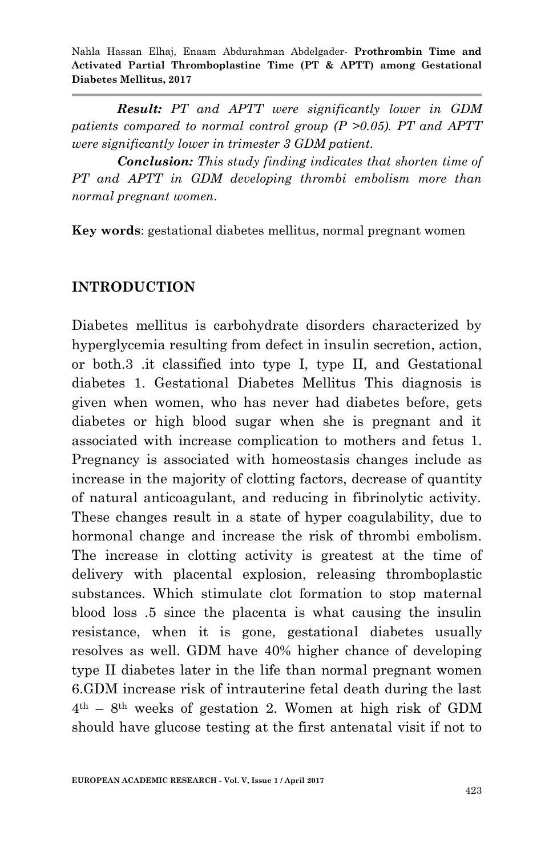*Result: PT and APTT were significantly lower in GDM patients compared to normal control group (P >0.05). PT and APTT were significantly lower in trimester 3 GDM patient.* 

*Conclusion: This study finding indicates that shorten time of PT and APTT in GDM developing thrombi embolism more than normal pregnant women.*

**Key words**: gestational diabetes mellitus, normal pregnant women

## **INTRODUCTION**

Diabetes mellitus is carbohydrate disorders characterized by hyperglycemia resulting from defect in insulin secretion, action, or both.3 .it classified into type I, type II, and Gestational diabetes 1. Gestational Diabetes Mellitus This diagnosis is given when women, who has never had diabetes before, gets diabetes or high blood sugar when she is pregnant and it associated with increase complication to mothers and fetus 1. Pregnancy is associated with homeostasis changes include as increase in the majority of clotting factors, decrease of quantity of natural anticoagulant, and reducing in fibrinolytic activity. These changes result in a state of hyper coagulability, due to hormonal change and increase the risk of thrombi embolism. The increase in clotting activity is greatest at the time of delivery with placental explosion, releasing thromboplastic substances. Which stimulate clot formation to stop maternal blood loss .5 since the placenta is what causing the insulin resistance, when it is gone, gestational diabetes usually resolves as well. GDM have 40% higher chance of developing type II diabetes later in the life than normal pregnant women 6.GDM increase risk of intrauterine fetal death during the last  $4<sup>th</sup>$  – 8<sup>th</sup> weeks of gestation 2. Women at high risk of GDM should have glucose testing at the first antenatal visit if not to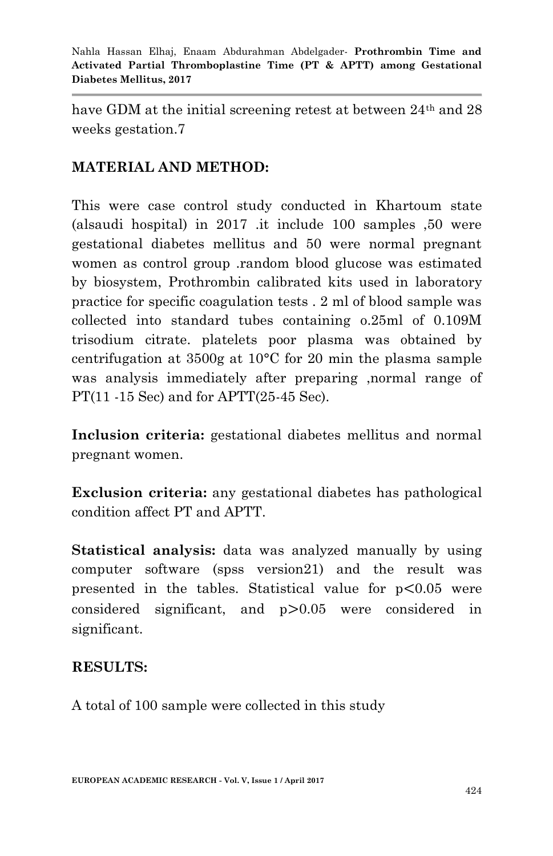have GDM at the initial screening retest at between 24<sup>th</sup> and 28 weeks gestation.7

## **MATERIAL AND METHOD:**

This were case control study conducted in Khartoum state (alsaudi hospital) in 2017 .it include 100 samples ,50 were gestational diabetes mellitus and 50 were normal pregnant women as control group .random blood glucose was estimated by biosystem, Prothrombin calibrated kits used in laboratory practice for specific coagulation tests . 2 ml of blood sample was collected into standard tubes containing o.25ml of 0.109M trisodium citrate. platelets poor plasma was obtained by centrifugation at 3500g at 10°C for 20 min the plasma sample was analysis immediately after preparing ,normal range of PT(11 -15 Sec) and for APTT(25-45 Sec).

**Inclusion criteria:** gestational diabetes mellitus and normal pregnant women.

**Exclusion criteria:** any gestational diabetes has pathological condition affect PT and APTT.

**Statistical analysis:** data was analyzed manually by using computer software (spss version21) and the result was presented in the tables. Statistical value for  $p < 0.05$  were considered significant, and  $p > 0.05$  were considered in significant.

## **RESULTS:**

A total of 100 sample were collected in this study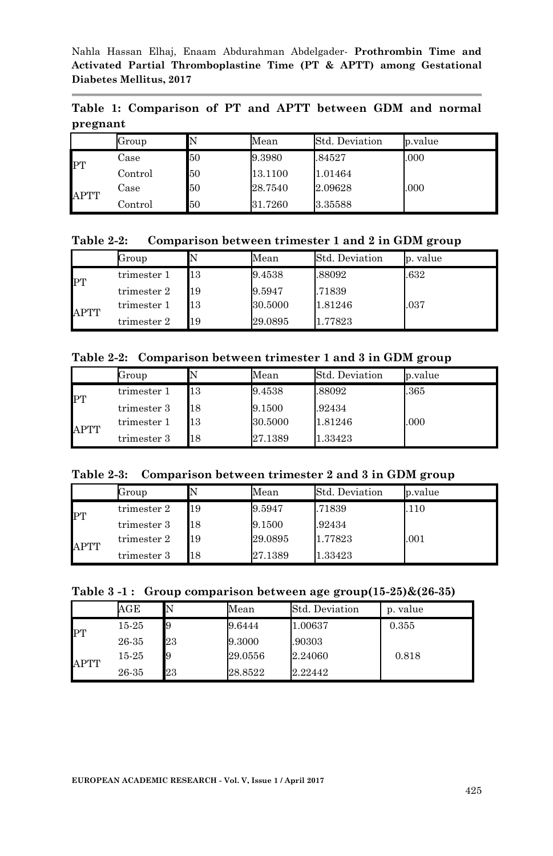**Table 1: Comparison of PT and APTT between GDM and normal pregnant** 

|             | Group            |    | Mean    | Std. Deviation | p.value |
|-------------|------------------|----|---------|----------------|---------|
| PT          | Case             | 50 | 9.3980  | .84527         | .000    |
|             | $_{\rm Control}$ | 50 | 13.1100 | 1.01464        |         |
| <b>APTT</b> | Case             | 50 | 28.7540 | 2.09628        | .000    |
|             | Control          | 50 | 31.7260 | 3.35588        |         |

**Table 2-2: Comparison between trimester 1 and 2 in GDM group**

|      | Group       |    | Mean    | Std. Deviation | p. value |
|------|-------------|----|---------|----------------|----------|
| PT   | trimester 1 | 13 | 9.4538  | .88092         | .632     |
|      | trimester 2 | 19 | 9.5947  | .71839         |          |
| APTT | trimester 1 | 13 | 30.5000 | 1.81246        | .037     |
|      | trimester 2 | 19 | 29.0895 | 1.77823        |          |

**Table 2-2: Comparison between trimester 1 and 3 in GDM group**

|             | Group       |    | Mean    | Std. Deviation | p.value |
|-------------|-------------|----|---------|----------------|---------|
| PT          | trimester 1 | 13 | 9.4538  | .88092         | .365    |
|             | trimester 3 | 18 | 9.1500  | .92434         |         |
| <b>APTT</b> | trimester 1 | 13 | 30.5000 | 1.81246        | .000    |
|             | trimester 3 | 18 | 27.1389 | 1.33423        |         |

|  | Table 2-3: Comparison between trimester 2 and 3 in GDM group |  |  |  |  |  |  |
|--|--------------------------------------------------------------|--|--|--|--|--|--|
|--|--------------------------------------------------------------|--|--|--|--|--|--|

|             | Group       |    | Mean    | Std. Deviation | p.value |
|-------------|-------------|----|---------|----------------|---------|
| PT          | trimester 2 | 19 | 9.5947  | .71839         | .110    |
|             | trimester 3 | 18 | 9.1500  | .92434         |         |
| <b>APTT</b> | trimester 2 | 19 | 29.0895 | 1.77823        | .001    |
|             | trimester 3 | 18 | 27.1389 | 1.33423        |         |

|  | Table 3-1: Group comparison between age group(15-25)&(26-35) |
|--|--------------------------------------------------------------|
|--|--------------------------------------------------------------|

|      | $\rm{AGE}$ | N  | Mean    | Std. Deviation | p. value |
|------|------------|----|---------|----------------|----------|
| PT   | 15-25      | 19 | 9.6444  | 1.00637        | 0.355    |
|      | 26-35      | 23 | 9.3000  | .90303         |          |
| APTT | 15-25      | 19 | 29.0556 | 2.24060        | 0.818    |
|      | 26-35      | 23 | 28.8522 | 2.22442        |          |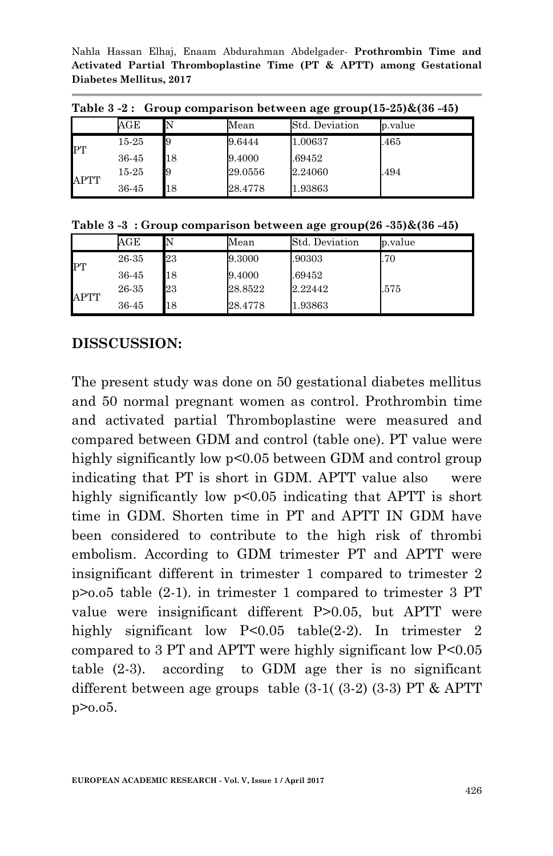Nahla Hassan Elhaj, Enaam Abdurahman Abdelgader*-* **Prothrombin Time and Activated Partial Thromboplastine Time (PT & APTT) among Gestational Diabetes Mellitus, 2017**

| Table 5 -4: Group comparison between age group(15-45)&(50 -45) |       |    |         |                |         |  |  |
|----------------------------------------------------------------|-------|----|---------|----------------|---------|--|--|
|                                                                | AGE   |    | Mean    | Std. Deviation | p.value |  |  |
| <b>IPT</b>                                                     | 15-25 |    | 9.6444  | 1.00637        | .465    |  |  |
|                                                                | 36-45 | 18 | 9.4000  | .69452         |         |  |  |
| <b>APTT</b>                                                    | 15-25 |    | 29.0556 | 2.24060        | .494    |  |  |
|                                                                | 36-45 | 18 | 28.4778 | 1.93863        |         |  |  |

 $Table 2.2.1$  Group comparison between age group(15-25) $&(26.45)$ 

|  |  |  |  |  | Table 3-3: Group comparison between age group(26-35)&(36-45) |
|--|--|--|--|--|--------------------------------------------------------------|
|--|--|--|--|--|--------------------------------------------------------------|

|           | $_{\rm AGE}$ |    | Mean    | Std. Deviation | p.value |
|-----------|--------------|----|---------|----------------|---------|
| <b>PT</b> | 26-35        | 23 | 9.3000  | .90303         | .70     |
|           | 36-45        | 18 | 9.4000  | .69452         |         |
| APTT      | 26-35        | 23 | 28.8522 | 2.22442        | .575    |
|           | 36-45        | 18 | 28.4778 | 1.93863        |         |

## **DISSCUSSION:**

The present study was done on 50 gestational diabetes mellitus and 50 normal pregnant women as control. Prothrombin time and activated partial Thromboplastine were measured and compared between GDM and control (table one). PT value were highly significantly low  $p<0.05$  between GDM and control group indicating that PT is short in GDM. APTT value also were highly significantly low p<0.05 indicating that APTT is short time in GDM. Shorten time in PT and APTT IN GDM have been considered to contribute to the high risk of thrombi embolism. According to GDM trimester PT and APTT were insignificant different in trimester 1 compared to trimester 2 p>o.o5 table (2-1). in trimester 1 compared to trimester 3 PT value were insignificant different P>0.05, but APTT were highly significant low P<0.05 table(2-2). In trimester 2 compared to 3 PT and APTT were highly significant low P<0.05 table (2-3). according to GDM age ther is no significant different between age groups table (3-1( (3-2) (3-3) PT & APTT p>o.o5.